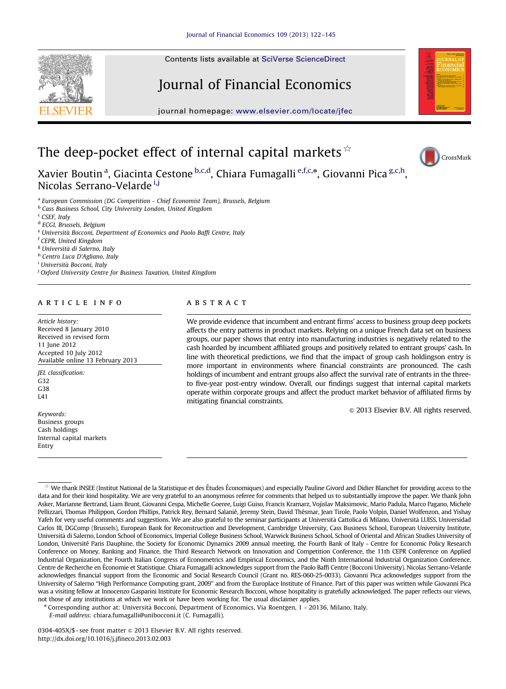Contents lists available at [SciVerse ScienceDirect](www.elsevier.com/locate/jfec)

## Journal of Financial Economics

journal homepage: <www.elsevier.com/locate/jfec>





Xavier Boutin<sup>a</sup>, Giacinta Cestone <sup>b,c,d</sup>, Chiara Fumagalli <sup>e,f,c,\*</sup>, Giovanni Pica <sup>g,c,h</sup>, Nicolas Serrano-Velarde<sup>i,j</sup>

<sup>a</sup> European Commission (DG Competition - Chief Economist Team), Brussels, Belgium

**b Cass Business School, City University London, United Kingdom** 

<sup>c</sup> CSEF, Italy

<sup>d</sup> ECGI, Brussels, Belgium

<sup>e</sup> Università Bocconi, Department of Economics and Paolo Baffi Centre, Italy

<sup>f</sup> CEPR, United Kingdom

<sup>g</sup> Universita di Salerno, Italy -

h Centro Luca D'Agliano, Italy

<sup>i</sup> Università Bocconi, Italy

<sup>j</sup> Oxford University Centre for Business Taxation, United Kingdom

#### article info

Article history: Received 8 January 2010 Received in revised form 11 June 2012 Accepted 10 July 2012 Available online 13 February 2013

JEL classification: G32 G38 L41

Keywords: Business groups Cash holdings Internal capital markets Entry

### ABSTRACT

We provide evidence that incumbent and entrant firms' access to business group deep pockets affects the entry patterns in product markets. Relying on a unique French data set on business groups, our paper shows that entry into manufacturing industries is negatively related to the cash hoarded by incumbent affiliated groups and positively related to entrant groups' cash. In line with theoretical predictions, we find that the impact of group cash holdingson entry is more important in environments where financial constraints are pronounced. The cash holdings of incumbent and entrant groups also affect the survival rate of entrants in the threeto five-year post-entry window. Overall, our findings suggest that internal capital markets operate within corporate groups and affect the product market behavior of affiliated firms by mitigating financial constraints.

 $\odot$  2013 Elsevier B.V. All rights reserved.

<sup>n</sup> Corresponding author at: Universita Bocconi, Department of Economics, Via Roentgen, 1 - 20136, Milano, Italy. -

E-mail address: [chiara.fumagalli@unibocconi.it \(C. Fumagalli\).](mailto:chiara.fumagalli@unibocconi.it)

0304-405X/\$ - see front matter @ 2013 Elsevier B.V. All rights reserved. <http://dx.doi.org/10.1016/j.jfineco.2013.02.003>

 $*$  We thank INSEE (Institut National de la Statistique et des Études Économiques) and especially Pauline Givord and Didier Blanchet for providing access to the data and for their kind hospitality. We are very grateful to an anonymous referee for comments that helped us to substantially improve the paper. We thank John Asker, Marianne Bertrand, Liam Brunt, Giovanni Cespa, Michelle Goeree, Luigi Guiso, Francis Kramarz, Vojislav Maksimovic, Mario Padula, Marco Pagano, Michele Pellizzari, Thomas Philippon, Gordon Phillips, Patrick Rey, Bernard Salanié, Jeremy Stein, David Thésmar, Jean Tirole, Paolo Volpin, Daniel Wolfenzon, and Yishay Yafeh for very useful comments and suggestions. We are also grateful to the seminar participants at Università Cattolica di Milano, Università LUISS, Universidad Carlos III, DGComp (Brussels), European Bank for Reconstruction and Development, Cambridge University, Cass Business School, European University Institute, Università di Salerno, London School of Economics, Imperial College Business School, Warwick Business School, School of Oriental and African Studies University of London, Université Paris Dauphine, the Society for Economic Dynamics 2009 annual meeting, the Fourth Bank of Italy - Centre for Economic Policy Research Conference on Money, Banking and Finance, the Third Research Network on Innovation and Competition Conference, the 11th CEPR Conference on Applied Industrial Organization, the Fourth Italian Congress of Econometrics and Empirical Economics, and the Ninth International Industrial Organization Conference, Centre de Recherche en Économie et Statistique. Chiara Fumagalli acknowledges support from the Paolo Baffi Centre (Bocconi University). Nicolas Serrano-Velarde acknowledges financial support from the Economic and Social Research Council (Grant no. RES-060-25-0033). Giovanni Pica acknowledges support from the University of Salerno ''High Performance Computing grant, 2009'' and from the Europlace Institute of Finance. Part of this paper was written while Giovanni Pica was a visiting fellow at Innocenzo Gasparini Institute for Economic Research Bocconi, whose hospitality is gratefully acknowledged. The paper reflects our views, not those of any institutions at which we work or have been working for. The usual disclaimer applies.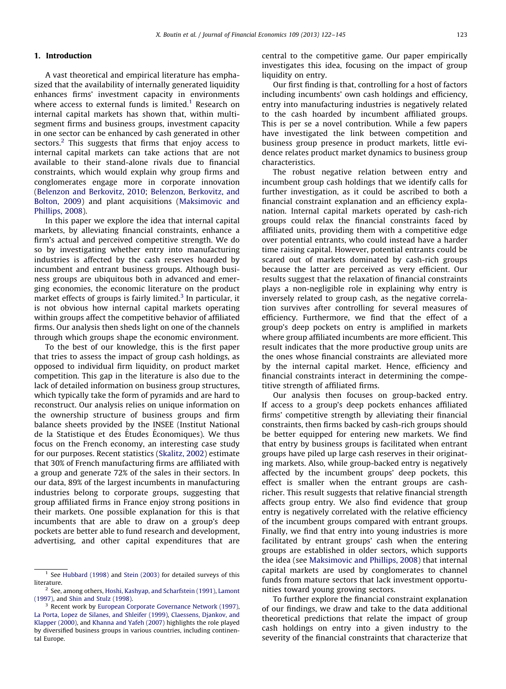#### 1. Introduction

A vast theoretical and empirical literature has emphasized that the availability of internally generated liquidity enhances firms' investment capacity in environments where access to external funds is limited.<sup>1</sup> Research on internal capital markets has shown that, within multisegment firms and business groups, investment capacity in one sector can be enhanced by cash generated in other sectors.<sup>2</sup> This suggests that firms that enjoy access to internal capital markets can take actions that are not available to their stand-alone rivals due to financial constraints, which would explain why group firms and conglomerates engage more in corporate innovation ([Belenzon and Berkovitz, 2010](#page--1-0); [Belenzon, Berkovitz, and](#page--1-0) [Bolton, 2009\)](#page--1-0) and plant acquisitions ([Maksimovic and](#page--1-0) [Phillips, 2008\)](#page--1-0).

In this paper we explore the idea that internal capital markets, by alleviating financial constraints, enhance a firm's actual and perceived competitive strength. We do so by investigating whether entry into manufacturing industries is affected by the cash reserves hoarded by incumbent and entrant business groups. Although business groups are ubiquitous both in advanced and emerging economies, the economic literature on the product market effects of groups is fairly limited.<sup>3</sup> In particular, it is not obvious how internal capital markets operating within groups affect the competitive behavior of affiliated firms. Our analysis then sheds light on one of the channels through which groups shape the economic environment.

To the best of our knowledge, this is the first paper that tries to assess the impact of group cash holdings, as opposed to individual firm liquidity, on product market competition. This gap in the literature is also due to the lack of detailed information on business group structures, which typically take the form of pyramids and are hard to reconstruct. Our analysis relies on unique information on the ownership structure of business groups and firm balance sheets provided by the INSEE (Institut National de la Statistique et des Études Économiques). We thus focus on the French economy, an interesting case study for our purposes. Recent statistics [\(Skalitz, 2002\)](#page--1-0) estimate that 30% of French manufacturing firms are affiliated with a group and generate 72% of the sales in their sectors. In our data, 89% of the largest incumbents in manufacturing industries belong to corporate groups, suggesting that group affiliated firms in France enjoy strong positions in their markets. One possible explanation for this is that incumbents that are able to draw on a group's deep pockets are better able to fund research and development, advertising, and other capital expenditures that are

central to the competitive game. Our paper empirically investigates this idea, focusing on the impact of group liquidity on entry.

Our first finding is that, controlling for a host of factors including incumbents' own cash holdings and efficiency, entry into manufacturing industries is negatively related to the cash hoarded by incumbent affiliated groups. This is per se a novel contribution. While a few papers have investigated the link between competition and business group presence in product markets, little evidence relates product market dynamics to business group characteristics.

The robust negative relation between entry and incumbent group cash holdings that we identify calls for further investigation, as it could be ascribed to both a financial constraint explanation and an efficiency explanation. Internal capital markets operated by cash-rich groups could relax the financial constraints faced by affiliated units, providing them with a competitive edge over potential entrants, who could instead have a harder time raising capital. However, potential entrants could be scared out of markets dominated by cash-rich groups because the latter are perceived as very efficient. Our results suggest that the relaxation of financial constraints plays a non-negligible role in explaining why entry is inversely related to group cash, as the negative correlation survives after controlling for several measures of efficiency. Furthermore, we find that the effect of a group's deep pockets on entry is amplified in markets where group affiliated incumbents are more efficient. This result indicates that the more productive group units are the ones whose financial constraints are alleviated more by the internal capital market. Hence, efficiency and financial constraints interact in determining the competitive strength of affiliated firms.

Our analysis then focuses on group-backed entry. If access to a group's deep pockets enhances affiliated firms' competitive strength by alleviating their financial constraints, then firms backed by cash-rich groups should be better equipped for entering new markets. We find that entry by business groups is facilitated when entrant groups have piled up large cash reserves in their originating markets. Also, while group-backed entry is negatively affected by the incumbent groups' deep pockets, this effect is smaller when the entrant groups are cashricher. This result suggests that relative financial strength affects group entry. We also find evidence that group entry is negatively correlated with the relative efficiency of the incumbent groups compared with entrant groups. Finally, we find that entry into young industries is more facilitated by entrant groups' cash when the entering groups are established in older sectors, which supports the idea (see [Maksimovic and Phillips, 2008\)](#page--1-0) that internal capital markets are used by conglomerates to channel funds from mature sectors that lack investment opportunities toward young growing sectors.

To further explore the financial constraint explanation of our findings, we draw and take to the data additional theoretical predictions that relate the impact of group cash holdings on entry into a given industry to the severity of the financial constraints that characterize that

 $1$  See [Hubbard \(1998\)](#page--1-0) and [Stein \(2003\)](#page--1-0) for detailed surveys of this literature.

<sup>2</sup> See, among others, [Hoshi, Kashyap, and Scharfstein \(1991\),](#page--1-0) [Lamont](#page--1-0) [\(1997\)](#page--1-0), and [Shin and Stulz \(1998\).](#page--1-0)

Recent work by [European Corporate Governance Network \(1997\)](#page--1-0), [La Porta, Lopez de Silanes, and Shleifer \(1999\),](#page--1-0) [Claessens, Djankov, and](#page--1-0) [Klapper \(2000\),](#page--1-0) and [Khanna and Yafeh \(2007\)](#page--1-0) highlights the role played by diversified business groups in various countries, including continental Europe.